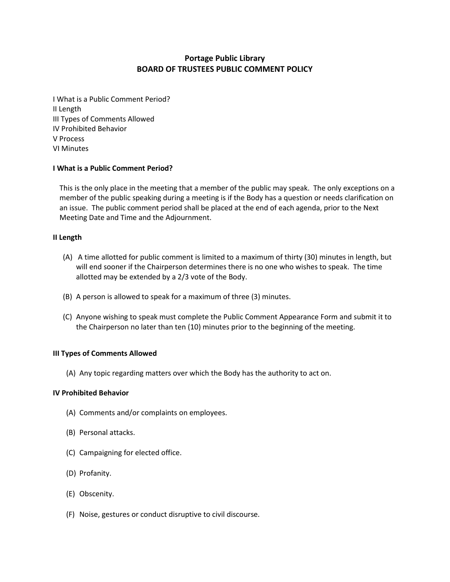# **Portage Public Library BOARD OF TRUSTEES PUBLIC COMMENT POLICY**

I What is a Public Comment Period? II Length III Types of Comments Allowed IV Prohibited Behavior V Process VI Minutes

## **I What is a Public Comment Period?**

This is the only place in the meeting that a member of the public may speak. The only exceptions on a member of the public speaking during a meeting is if the Body has a question or needs clarification on an issue. The public comment period shall be placed at the end of each agenda, prior to the Next Meeting Date and Time and the Adjournment.

## **II Length**

- (A) A time allotted for public comment is limited to a maximum of thirty (30) minutes in length, but will end sooner if the Chairperson determines there is no one who wishes to speak. The time allotted may be extended by a 2/3 vote of the Body.
- (B) A person is allowed to speak for a maximum of three (3) minutes.
- (C) Anyone wishing to speak must complete the Public Comment Appearance Form and submit it to the Chairperson no later than ten (10) minutes prior to the beginning of the meeting.

## **III Types of Comments Allowed**

(A) Any topic regarding matters over which the Body has the authority to act on.

## **IV Prohibited Behavior**

- (A) Comments and/or complaints on employees.
- (B) Personal attacks.
- (C) Campaigning for elected office.
- (D) Profanity.
- (E) Obscenity.
- (F) Noise, gestures or conduct disruptive to civil discourse.